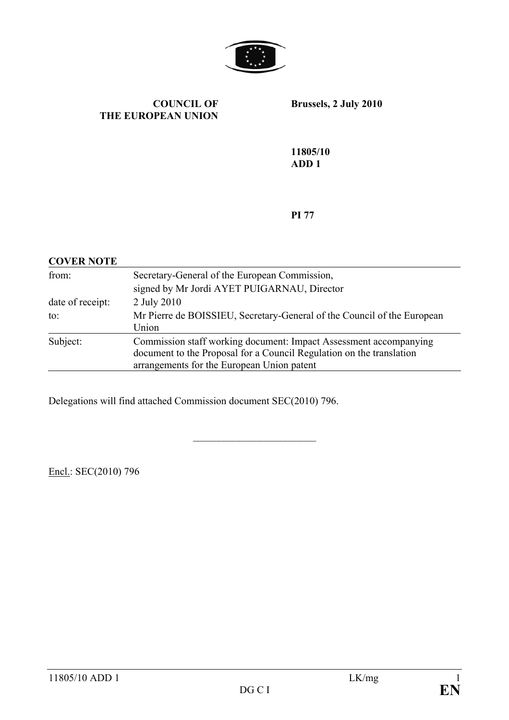

#### **COUNCIL OF THE EUROPEAN UNION**

**Brussels, 2 July 2010** 

**11805/10 ADD 1** 

**PI 77** 

| <b>COVER NOTE</b> |                                                                         |
|-------------------|-------------------------------------------------------------------------|
| from:             | Secretary-General of the European Commission,                           |
|                   | signed by Mr Jordi AYET PUIGARNAU, Director                             |
| date of receipt:  | 2 July 2010                                                             |
| to:               | Mr Pierre de BOISSIEU, Secretary-General of the Council of the European |
|                   | Union                                                                   |
| Subject:          | Commission staff working document: Impact Assessment accompanying       |
|                   | document to the Proposal for a Council Regulation on the translation    |
|                   | arrangements for the European Union patent                              |

 $\overline{\phantom{a}}$  , where  $\overline{\phantom{a}}$ 

Delegations will find attached Commission document SEC(2010) 796.

Encl.: SEC(2010) 796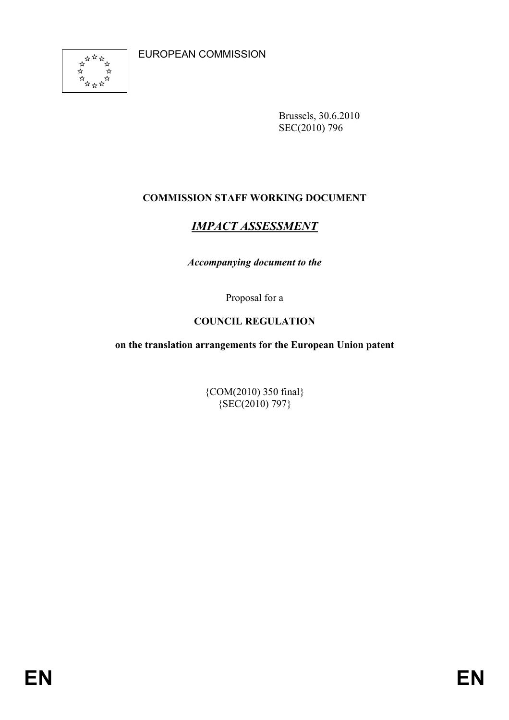EUROPEAN COMMISSION



Brussels, 30.6.2010 SEC(2010) 796

# **COMMISSION STAFF WORKING DOCUMENT**

# *IMPACT ASSESSMENT*

*Accompanying document to the* 

Proposal for a

# **COUNCIL REGULATION**

**on the translation arrangements for the European Union patent** 

{COM(2010) 350 final}  ${SEC(2010) 797}$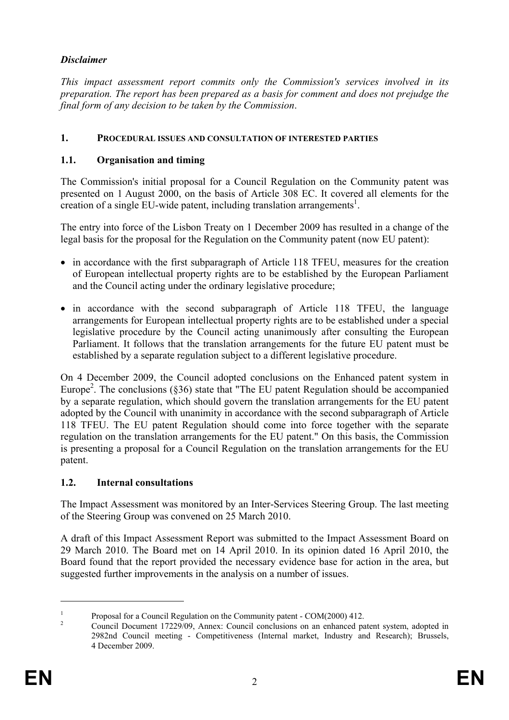# *Disclaimer*

*This impact assessment report commits only the Commission's services involved in its preparation. The report has been prepared as a basis for comment and does not prejudge the final form of any decision to be taken by the Commission*.

### **1. PROCEDURAL ISSUES AND CONSULTATION OF INTERESTED PARTIES**

### **1.1. Organisation and timing**

The Commission's initial proposal for a Council Regulation on the Community patent was presented on 1 August 2000, on the basis of Article 308 EC. It covered all elements for the creation of a single  $EU$ -wide patent, including translation arrangements<sup>1</sup>.

The entry into force of the Lisbon Treaty on 1 December 2009 has resulted in a change of the legal basis for the proposal for the Regulation on the Community patent (now EU patent):

- in accordance with the first subparagraph of Article 118 TFEU, measures for the creation of European intellectual property rights are to be established by the European Parliament and the Council acting under the ordinary legislative procedure;
- in accordance with the second subparagraph of Article 118 TFEU, the language arrangements for European intellectual property rights are to be established under a special legislative procedure by the Council acting unanimously after consulting the European Parliament. It follows that the translation arrangements for the future EU patent must be established by a separate regulation subject to a different legislative procedure.

On 4 December 2009, the Council adopted conclusions on the Enhanced patent system in Europe<sup>2</sup>. The conclusions (§36) state that "The EU patent Regulation should be accompanied by a separate regulation, which should govern the translation arrangements for the EU patent adopted by the Council with unanimity in accordance with the second subparagraph of Article 118 TFEU. The EU patent Regulation should come into force together with the separate regulation on the translation arrangements for the EU patent." On this basis, the Commission is presenting a proposal for a Council Regulation on the translation arrangements for the EU patent.

#### **1.2. Internal consultations**

The Impact Assessment was monitored by an Inter-Services Steering Group. The last meeting of the Steering Group was convened on 25 March 2010.

A draft of this Impact Assessment Report was submitted to the Impact Assessment Board on 29 March 2010. The Board met on 14 April 2010. In its opinion dated 16 April 2010, the Board found that the report provided the necessary evidence base for action in the area, but suggested further improvements in the analysis on a number of issues.

<sup>1</sup> Proposal for a Council Regulation on the Community patent - COM(2000) 412. 2

Council Document 17229/09, Annex: Council conclusions on an enhanced patent system, adopted in 2982nd Council meeting - Competitiveness (Internal market, Industry and Research); Brussels, 4 December 2009.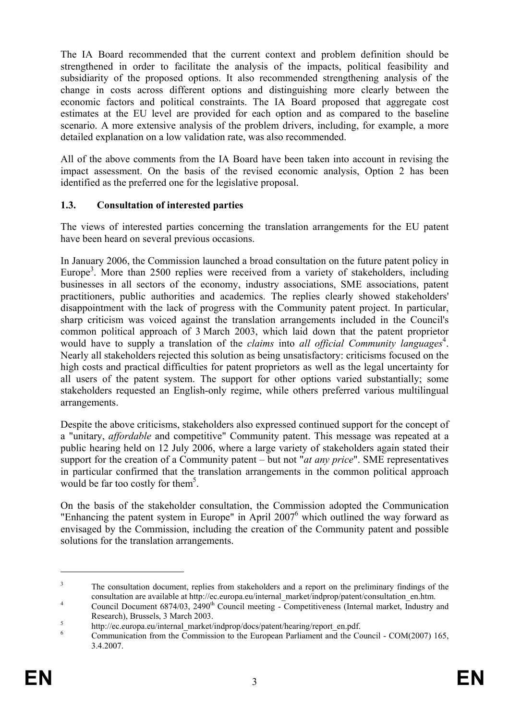The IA Board recommended that the current context and problem definition should be strengthened in order to facilitate the analysis of the impacts, political feasibility and subsidiarity of the proposed options. It also recommended strengthening analysis of the change in costs across different options and distinguishing more clearly between the economic factors and political constraints. The IA Board proposed that aggregate cost estimates at the EU level are provided for each option and as compared to the baseline scenario. A more extensive analysis of the problem drivers, including, for example, a more detailed explanation on a low validation rate, was also recommended.

All of the above comments from the IA Board have been taken into account in revising the impact assessment. On the basis of the revised economic analysis, Option 2 has been identified as the preferred one for the legislative proposal.

## **1.3. Consultation of interested parties**

The views of interested parties concerning the translation arrangements for the EU patent have been heard on several previous occasions.

In January 2006, the Commission launched a broad consultation on the future patent policy in Europe<sup>3</sup>. More than 2500 replies were received from a variety of stakeholders, including businesses in all sectors of the economy, industry associations, SME associations, patent practitioners, public authorities and academics. The replies clearly showed stakeholders' disappointment with the lack of progress with the Community patent project. In particular, sharp criticism was voiced against the translation arrangements included in the Council's common political approach of 3 March 2003, which laid down that the patent proprietor would have to supply a translation of the *claims* into *all official Community languages*<sup>4</sup>. Nearly all stakeholders rejected this solution as being unsatisfactory: criticisms focused on the high costs and practical difficulties for patent proprietors as well as the legal uncertainty for all users of the patent system. The support for other options varied substantially; some stakeholders requested an English-only regime, while others preferred various multilingual arrangements.

Despite the above criticisms, stakeholders also expressed continued support for the concept of a "unitary, *affordable* and competitive" Community patent. This message was repeated at a public hearing held on 12 July 2006, where a large variety of stakeholders again stated their support for the creation of a Community patent – but not "*at any price*". SME representatives in particular confirmed that the translation arrangements in the common political approach would be far too costly for them<sup>5</sup>.

On the basis of the stakeholder consultation, the Commission adopted the Communication "Enhancing the patent system in Europe" in April  $2007<sup>6</sup>$  which outlined the way forward as envisaged by the Commission, including the creation of the Community patent and possible solutions for the translation arrangements.

<sup>3</sup> The consultation document, replies from stakeholders and a report on the preliminary findings of the consultation are available at http://ec.europa.eu/internal\_market/indprop/patent/consultation\_en.htm. 4

Council Document  $6874/03$ ,  $2490<sup>th</sup>$  Council meeting - Competitiveness (Internal market, Industry and Research), Brussels, 3 March 2003.

 $h_{\text{th}}$  http://ec.europa.eu/internal\_market/indprop/docs/patent/hearing/report\_en.pdf.

Communication from the Commission to the European Parliament and the Council - COM(2007) 165, 3.4.2007.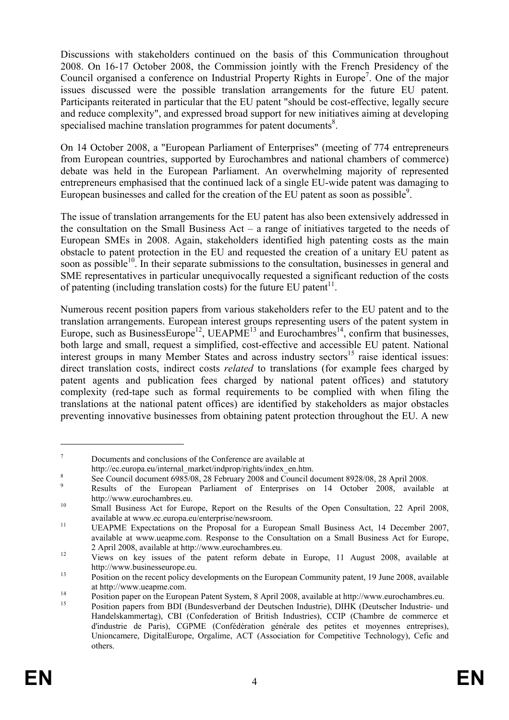Discussions with stakeholders continued on the basis of this Communication throughout 2008. On 16-17 October 2008, the Commission jointly with the French Presidency of the Council organised a conference on Industrial Property Rights in Europe<sup>7</sup>. One of the major issues discussed were the possible translation arrangements for the future EU patent. Participants reiterated in particular that the EU patent "should be cost-effective, legally secure and reduce complexity", and expressed broad support for new initiatives aiming at developing specialised machine translation programmes for patent documents $\delta$ .

On 14 October 2008, a "European Parliament of Enterprises" (meeting of 774 entrepreneurs from European countries, supported by Eurochambres and national chambers of commerce) debate was held in the European Parliament. An overwhelming majority of represented entrepreneurs emphasised that the continued lack of a single EU-wide patent was damaging to European businesses and called for the creation of the EU patent as soon as possible<sup>9</sup>.

The issue of translation arrangements for the EU patent has also been extensively addressed in the consultation on the Small Business Act – a range of initiatives targeted to the needs of European SMEs in 2008. Again, stakeholders identified high patenting costs as the main obstacle to patent protection in the EU and requested the creation of a unitary EU patent as soon as possible $10<sup>10</sup>$ . In their separate submissions to the consultation, businesses in general and SME representatives in particular unequivocally requested a significant reduction of the costs of patenting (including translation costs) for the future EU patent<sup>11</sup>.

Numerous recent position papers from various stakeholders refer to the EU patent and to the translation arrangements. European interest groups representing users of the patent system in Europe, such as BusinessEurope<sup>12</sup>, UEAPME<sup>13</sup> and Eurochambres<sup>14</sup>, confirm that businesses, both large and small, request a simplified, cost-effective and accessible EU patent. National interest groups in many Member States and across industry sectors<sup>15</sup> raise identical issues: direct translation costs, indirect costs *related* to translations (for example fees charged by patent agents and publication fees charged by national patent offices) and statutory complexity (red-tape such as formal requirements to be complied with when filing the translations at the national patent offices) are identified by stakeholders as major obstacles preventing innovative businesses from obtaining patent protection throughout the EU. A new

<sup>7</sup> Documents and conclusions of the Conference are available at

http://ec.europa.eu/internal\_market/indprop/rights/index\_en.htm.

See Council document 6985/08, 28 February 2008 and Council document 8928/08, 28 April 2008.

 $\overline{Q}$ Results of the European Parliament of Enterprises on 14 October 2008, available at

http://www.eurochambres.eu.<br><sup>10</sup> Small Business Act for Europe, Report on the Results of the Open Consultation, 22 April 2008,

available at www.ec.europa.eu/enterprise/newsroom. 11 UEAPME Expectations on the Proposal for a European Small Business Act, 14 December 2007, available at www.ueapme.com. Response to the Consultation on a Small Business Act for Europe, <sup>12</sup> 2 April 2008, available at http://www.eurochambres.eu.<br><sup>12</sup> Views on key issues of the patent reform debate in Europe, 11 August 2008, available at

http://www.businesseurope.eu.<br>
Position on the recent policy developments on the European Community patent, 19 June 2008, available

at http://www.ueapme.com.<br>
Position paper on the European Patent System, 8 April 2008, available at http://www.eurochambres.eu.

<sup>15</sup> Position papers from BDI (Bundesverband der Deutschen Industrie), DIHK (Deutscher Industrie- und Handelskammertag), CBI (Confederation of British Industries), CCIP (Chambre de commerce et d'industrie de Paris), CGPME (Confédération générale des petites et moyennes entreprises), Unioncamere, DigitalEurope, Orgalime, ACT (Association for Competitive Technology), Cefic and others.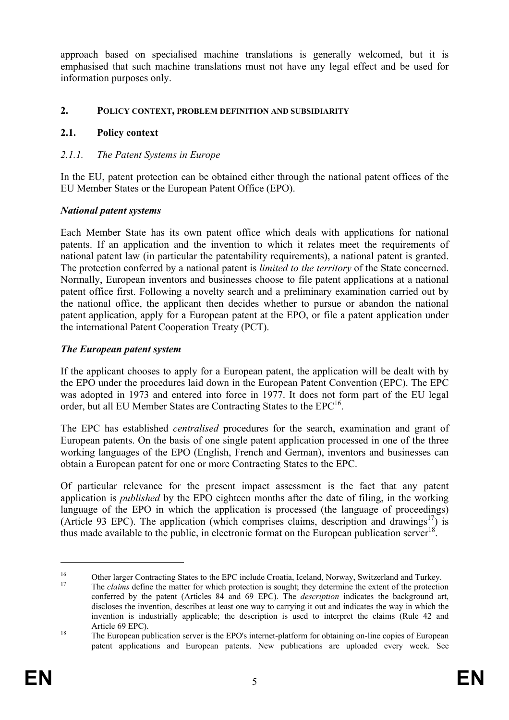approach based on specialised machine translations is generally welcomed, but it is emphasised that such machine translations must not have any legal effect and be used for information purposes only.

#### **2. POLICY CONTEXT, PROBLEM DEFINITION AND SUBSIDIARITY**

### **2.1. Policy context**

## *2.1.1. The Patent Systems in Europe*

In the EU, patent protection can be obtained either through the national patent offices of the EU Member States or the European Patent Office (EPO).

#### *National patent systems*

Each Member State has its own patent office which deals with applications for national patents. If an application and the invention to which it relates meet the requirements of national patent law (in particular the patentability requirements), a national patent is granted. The protection conferred by a national patent is *limited to the territory* of the State concerned. Normally, European inventors and businesses choose to file patent applications at a national patent office first. Following a novelty search and a preliminary examination carried out by the national office, the applicant then decides whether to pursue or abandon the national patent application, apply for a European patent at the EPO, or file a patent application under the international Patent Cooperation Treaty (PCT).

#### *The European patent system*

If the applicant chooses to apply for a European patent, the application will be dealt with by the EPO under the procedures laid down in the European Patent Convention (EPC). The EPC was adopted in 1973 and entered into force in 1977. It does not form part of the EU legal order, but all EU Member States are Contracting States to the EPC<sup>16</sup>.

The EPC has established *centralised* procedures for the search, examination and grant of European patents. On the basis of one single patent application processed in one of the three working languages of the EPO (English, French and German), inventors and businesses can obtain a European patent for one or more Contracting States to the EPC.

Of particular relevance for the present impact assessment is the fact that any patent application is *published* by the EPO eighteen months after the date of filing, in the working language of the EPO in which the application is processed (the language of proceedings) (Article 93 EPC). The application (which comprises claims, description and drawings<sup>17</sup>) is thus made available to the public, in electronic format on the European publication server<sup>18</sup>.

<sup>&</sup>lt;sup>16</sup> Other larger Contracting States to the EPC include Croatia, Iceland, Norway, Switzerland and Turkey.<br><sup>17</sup> The *claims* define the matter for which protection is sought; they determine the extent of the protection

conferred by the patent (Articles 84 and 69 EPC). The *description* indicates the background art, discloses the invention, describes at least one way to carrying it out and indicates the way in which the invention is industrially applicable; the description is used to interpret the claims (Rule 42 and Article 69 EPC).<br><sup>18</sup> The European publication server is the EPO's internet-platform for obtaining on-line copies of European

patent applications and European patents. New publications are uploaded every week. See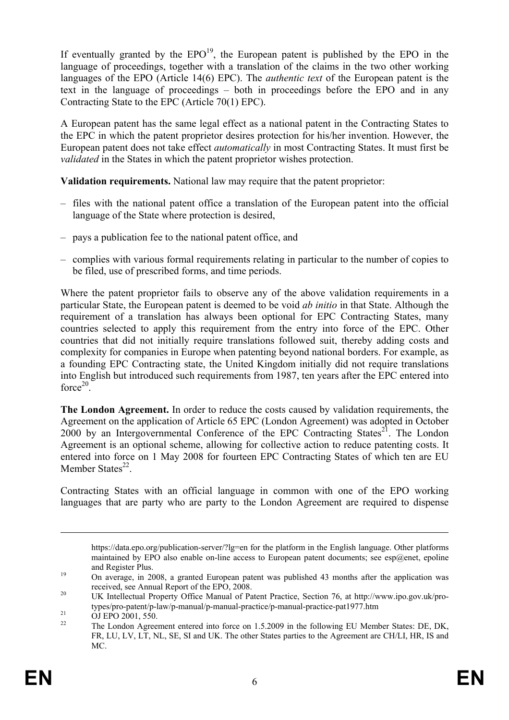If eventually granted by the  $EPO<sup>19</sup>$ , the European patent is published by the EPO in the language of proceedings, together with a translation of the claims in the two other working languages of the EPO (Article 14(6) EPC). The *authentic text* of the European patent is the text in the language of proceedings – both in proceedings before the EPO and in any Contracting State to the EPC (Article 70(1) EPC).

A European patent has the same legal effect as a national patent in the Contracting States to the EPC in which the patent proprietor desires protection for his/her invention. However, the European patent does not take effect *automatically* in most Contracting States. It must first be *validated* in the States in which the patent proprietor wishes protection.

**Validation requirements.** National law may require that the patent proprietor:

- files with the national patent office a translation of the European patent into the official language of the State where protection is desired,
- pays a publication fee to the national patent office, and
- complies with various formal requirements relating in particular to the number of copies to be filed, use of prescribed forms, and time periods.

Where the patent proprietor fails to observe any of the above validation requirements in a particular State, the European patent is deemed to be void *ab initio* in that State. Although the requirement of a translation has always been optional for EPC Contracting States, many countries selected to apply this requirement from the entry into force of the EPC. Other countries that did not initially require translations followed suit, thereby adding costs and complexity for companies in Europe when patenting beyond national borders. For example, as a founding EPC Contracting state, the United Kingdom initially did not require translations into English but introduced such requirements from 1987, ten years after the EPC entered into force $20$ .

**The London Agreement.** In order to reduce the costs caused by validation requirements, the Agreement on the application of Article 65 EPC (London Agreement) was adopted in October 2000 by an Intergovernmental Conference of the EPC Contracting States<sup>21</sup>. The London Agreement is an optional scheme, allowing for collective action to reduce patenting costs. It entered into force on 1 May 2008 for fourteen EPC Contracting States of which ten are EU Member States $^{22}$ .

Contracting States with an official language in common with one of the EPO working languages that are party who are party to the London Agreement are required to dispense

https://data.epo.org/publication-server/?lg=en for the platform in the English language. Other platforms maintained by EPO also enable on-line access to European patent documents; see esp $@$ enet, epoline and Register Plus.<br>
19 On average, in 2008, a granted European patent was published 43 months after the application was

received, see Annual Report of the EPO, 2008.<br><sup>20</sup> UK Intellectual Property Office Manual of Patent Practice, Section 76, at http://www.ipo.gov.uk/pro-

types/pro-patent/p-law/p-manual/p-manual-practice/p-manual-practice-pat1977.htm<br>
OJ EPO 2001, 550.<br>
<sup>22</sup> The London Agreement optered into force on 1.5.2000 in the following ELLMomb

<sup>22</sup> The London Agreement entered into force on 1.5.2009 in the following EU Member States: DE, DK, FR, LU, LV, LT, NL, SE, SI and UK. The other States parties to the Agreement are CH/LI, HR, IS and MC.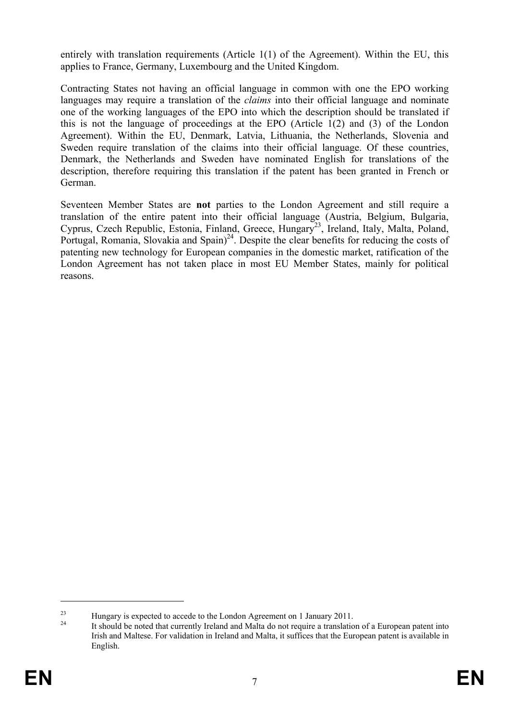entirely with translation requirements (Article 1(1) of the Agreement). Within the EU, this applies to France, Germany, Luxembourg and the United Kingdom.

Contracting States not having an official language in common with one the EPO working languages may require a translation of the *claims* into their official language and nominate one of the working languages of the EPO into which the description should be translated if this is not the language of proceedings at the EPO (Article 1(2) and (3) of the London Agreement). Within the EU, Denmark, Latvia, Lithuania, the Netherlands, Slovenia and Sweden require translation of the claims into their official language. Of these countries, Denmark, the Netherlands and Sweden have nominated English for translations of the description, therefore requiring this translation if the patent has been granted in French or German.

Seventeen Member States are **not** parties to the London Agreement and still require a translation of the entire patent into their official language (Austria, Belgium, Bulgaria, Cyprus, Czech Republic, Estonia, Finland, Greece, Hungary<sup>23</sup>, Ireland, Italy, Malta, Poland, Portugal, Romania, Slovakia and  $Spin^{24}$ . Despite the clear benefits for reducing the costs of patenting new technology for European companies in the domestic market, ratification of the London Agreement has not taken place in most EU Member States, mainly for political reasons.

<sup>&</sup>lt;sup>23</sup> Hungary is expected to accede to the London Agreement on 1 January 2011.<br><sup>24</sup> It should be noted that currently Ireland and Malta do not require a translation of a European patent into Irish and Maltese. For validation in Ireland and Malta, it suffices that the European patent is available in English.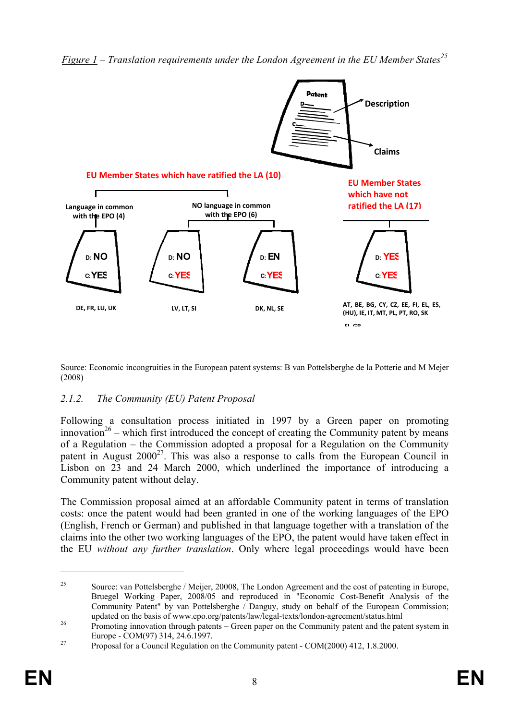

*Figure 1 – Translation requirements under the London Agreement in the EU Member States*<sup>25</sup>

Source: Economic incongruities in the European patent systems: B van Pottelsberghe de la Potterie and M Mejer (2008)

# *2.1.2. The Community (EU) Patent Proposal*

Following a consultation process initiated in 1997 by a Green paper on promoting innovation<sup>26</sup> – which first introduced the concept of creating the Community patent by means of a Regulation – the Commission adopted a proposal for a Regulation on the Community patent in August  $2000^{27}$ . This was also a response to calls from the European Council in Lisbon on 23 and 24 March 2000, which underlined the importance of introducing a Community patent without delay.

The Commission proposal aimed at an affordable Community patent in terms of translation costs: once the patent would had been granted in one of the working languages of the EPO (English, French or German) and published in that language together with a translation of the claims into the other two working languages of the EPO, the patent would have taken effect in the EU *without any further translation*. Only where legal proceedings would have been

<sup>&</sup>lt;sup>25</sup> Source: van Pottelsberghe / Meijer, 20008, The London Agreement and the cost of patenting in Europe, Bruegel Working Paper, 2008/05 and reproduced in "Economic Cost-Benefit Analysis of the Community Patent" by van Pottelsberghe / Danguy, study on behalf of the European Commission;

updated on the basis of www.epo.org/patents/law/legal-texts/london-agreement/status.html 26 Promoting innovation through patents – Green paper on the Community patent and the patent system in

Europe - COM(97) 314, 24.6.1997.<br>Proposal for a Council Regulation on the Community patent - COM(2000) 412, 1.8.2000.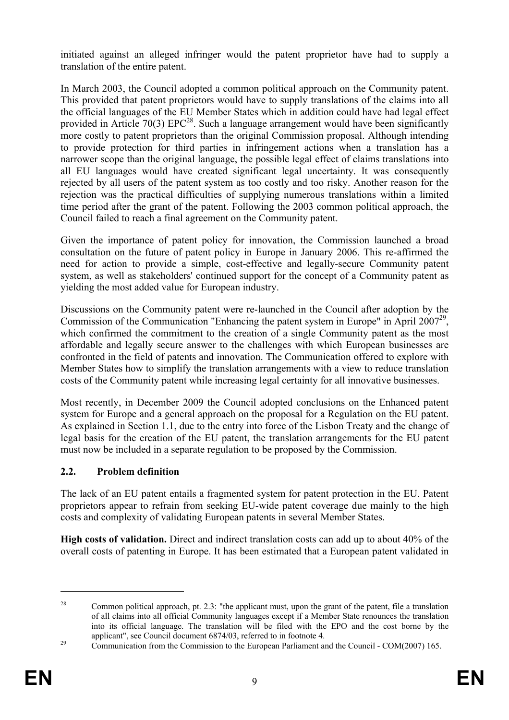initiated against an alleged infringer would the patent proprietor have had to supply a translation of the entire patent.

In March 2003, the Council adopted a common political approach on the Community patent. This provided that patent proprietors would have to supply translations of the claims into all the official languages of the EU Member States which in addition could have had legal effect provided in Article 70(3)  $EPC^{28}$ . Such a language arrangement would have been significantly more costly to patent proprietors than the original Commission proposal. Although intending to provide protection for third parties in infringement actions when a translation has a narrower scope than the original language, the possible legal effect of claims translations into all EU languages would have created significant legal uncertainty. It was consequently rejected by all users of the patent system as too costly and too risky. Another reason for the rejection was the practical difficulties of supplying numerous translations within a limited time period after the grant of the patent. Following the 2003 common political approach, the Council failed to reach a final agreement on the Community patent.

Given the importance of patent policy for innovation, the Commission launched a broad consultation on the future of patent policy in Europe in January 2006. This re-affirmed the need for action to provide a simple, cost-effective and legally-secure Community patent system, as well as stakeholders' continued support for the concept of a Community patent as yielding the most added value for European industry.

Discussions on the Community patent were re-launched in the Council after adoption by the Commission of the Communication "Enhancing the patent system in Europe" in April 2007<sup>29</sup>, which confirmed the commitment to the creation of a single Community patent as the most affordable and legally secure answer to the challenges with which European businesses are confronted in the field of patents and innovation. The Communication offered to explore with Member States how to simplify the translation arrangements with a view to reduce translation costs of the Community patent while increasing legal certainty for all innovative businesses.

Most recently, in December 2009 the Council adopted conclusions on the Enhanced patent system for Europe and a general approach on the proposal for a Regulation on the EU patent. As explained in Section 1.1, due to the entry into force of the Lisbon Treaty and the change of legal basis for the creation of the EU patent, the translation arrangements for the EU patent must now be included in a separate regulation to be proposed by the Commission.

# **2.2. Problem definition**

The lack of an EU patent entails a fragmented system for patent protection in the EU. Patent proprietors appear to refrain from seeking EU-wide patent coverage due mainly to the high costs and complexity of validating European patents in several Member States.

**High costs of validation.** Direct and indirect translation costs can add up to about 40% of the overall costs of patenting in Europe. It has been estimated that a European patent validated in

 $\overline{a}$ 

<sup>&</sup>lt;sup>28</sup> Common political approach, pt. 2.3: "the applicant must, upon the grant of the patent, file a translation of all claims into all official Community languages except if a Member State renounces the translation into its official language. The translation will be filed with the EPO and the cost borne by the applicant", see Council document 6874/03, referred to in footnote 4.<br>Communication from the Commission to the European Parliament and the Council - COM(2007) 165.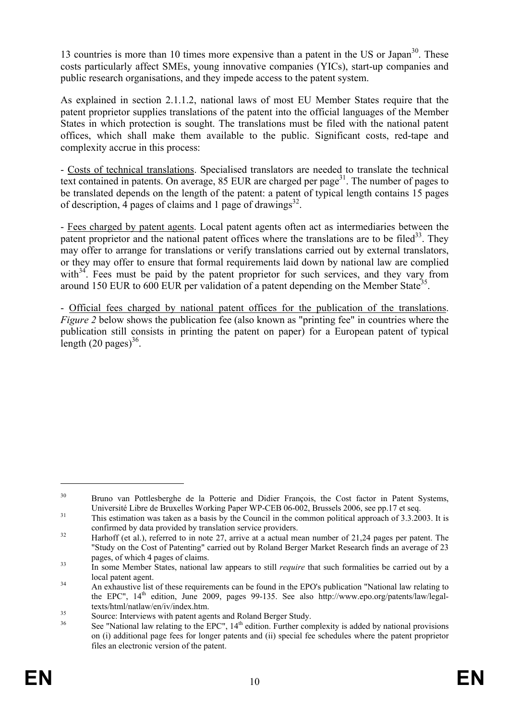13 countries is more than 10 times more expensive than a patent in the US or Japan<sup>30</sup>. These costs particularly affect SMEs, young innovative companies (YICs), start-up companies and public research organisations, and they impede access to the patent system.

As explained in section 2.1.1.2, national laws of most EU Member States require that the patent proprietor supplies translations of the patent into the official languages of the Member States in which protection is sought. The translations must be filed with the national patent offices, which shall make them available to the public. Significant costs, red-tape and complexity accrue in this process:

- Costs of technical translations. Specialised translators are needed to translate the technical text contained in patents. On average,  $85$  EUR are charged per page<sup>31</sup>. The number of pages to be translated depends on the length of the patent: a patent of typical length contains 15 pages of description, 4 pages of claims and 1 page of drawings<sup>32</sup>.

- Fees charged by patent agents. Local patent agents often act as intermediaries between the patent proprietor and the national patent offices where the translations are to be filed<sup>33</sup>. They may offer to arrange for translations or verify translations carried out by external translators, or they may offer to ensure that formal requirements laid down by national law are complied with $34$ . Fees must be paid by the patent proprietor for such services, and they vary from around 150 EUR to 600 EUR per validation of a patent depending on the Member State<sup>35</sup>.

- Official fees charged by national patent offices for the publication of the translations. *Figure 2* below shows the publication fee (also known as "printing fee" in countries where the publication still consists in printing the patent on paper) for a European patent of typical length  $(20 \text{ pages})^{36}$ .

<sup>&</sup>lt;sup>30</sup> Bruno van Pottlesberghe de la Potterie and Didier François, the Cost factor in Patent Systems,

Université Libre de Bruxelles Working Paper WP-CEB 06-002, Brussels 2006, see pp.17 et seq.<br><sup>31</sup> This estimation was taken as a basis by the Council in the common political approach of 3.3.2003. It is confirmed by data provided by translation service providers.<br>32 Harhoff (et al.), referred to in note 27, arrive at a actual mean number of 21,24 pages per patent. The

<sup>&</sup>quot;Study on the Cost of Patenting" carried out by Roland Berger Market Research finds an average of 23 pages, of which 4 pages of claims.<br><sup>33</sup> In some Member States, national law appears to still *require* that such formalities be carried out by a

local patent agent.<br>
34 An exhaustive list of these requirements can be found in the EPO's publication "National law relating to

the EPC", 14<sup>th</sup> edition, June 2009, pages 99-135. See also http://www.epo.org/patents/law/legal-<br>texts/html/natlaw/en/iv/index.htm.

 $t_{\text{35}}$  Source: Interviews with patent agents and Roland Berger Study.<br> $t_{\text{36}}$  Soc. "National law relating to the EDC". 14<sup>th</sup> edition. Eurther com-

See "National law relating to the EPC",  $14<sup>th</sup>$  edition. Further complexity is added by national provisions on (i) additional page fees for longer patents and (ii) special fee schedules where the patent proprietor files an electronic version of the patent.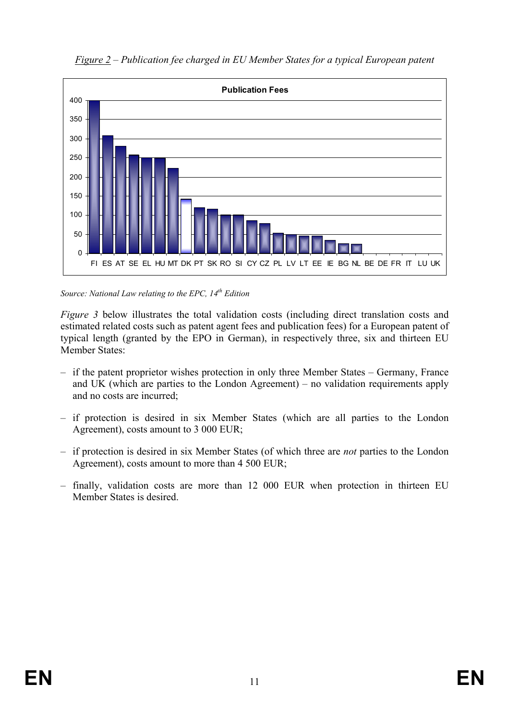

*Figure 2 – Publication fee charged in EU Member States for a typical European patent* 

*Source: National Law relating to the EPC, 14th Edition*

*Figure 3* below illustrates the total validation costs (including direct translation costs and estimated related costs such as patent agent fees and publication fees) for a European patent of typical length (granted by the EPO in German), in respectively three, six and thirteen EU Member States:

- if the patent proprietor wishes protection in only three Member States Germany, France and UK (which are parties to the London Agreement) – no validation requirements apply and no costs are incurred;
- if protection is desired in six Member States (which are all parties to the London Agreement), costs amount to 3 000 EUR;
- if protection is desired in six Member States (of which three are *not* parties to the London Agreement), costs amount to more than 4 500 EUR;
- finally, validation costs are more than 12 000 EUR when protection in thirteen EU Member States is desired.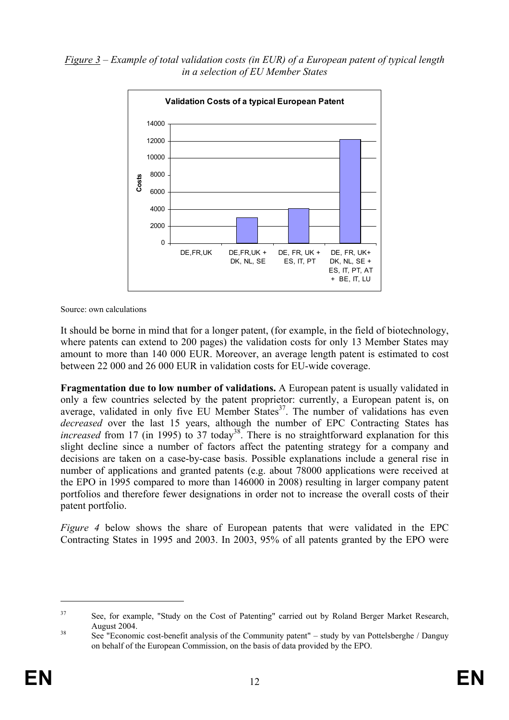*Figure 3 – Example of total validation costs (in EUR) of a European patent of typical length in a selection of EU Member States*



Source: own calculations

It should be borne in mind that for a longer patent, (for example, in the field of biotechnology, where patents can extend to 200 pages) the validation costs for only 13 Member States may amount to more than 140 000 EUR. Moreover, an average length patent is estimated to cost between 22 000 and 26 000 EUR in validation costs for EU-wide coverage.

**Fragmentation due to low number of validations.** A European patent is usually validated in only a few countries selected by the patent proprietor: currently, a European patent is, on average, validated in only five EU Member States $3^7$ . The number of validations has even *decreased* over the last 15 years, although the number of EPC Contracting States has *increased* from 17 (in 1995) to 37 today<sup>38</sup>. There is no straightforward explanation for this slight decline since a number of factors affect the patenting strategy for a company and decisions are taken on a case-by-case basis. Possible explanations include a general rise in number of applications and granted patents (e.g. about 78000 applications were received at the EPO in 1995 compared to more than 146000 in 2008) resulting in larger company patent portfolios and therefore fewer designations in order not to increase the overall costs of their patent portfolio.

*Figure 4* below shows the share of European patents that were validated in the EPC Contracting States in 1995 and 2003. In 2003, 95% of all patents granted by the EPO were

<sup>&</sup>lt;sup>37</sup> See, for example, "Study on the Cost of Patenting" carried out by Roland Berger Market Research, August 2004.<br><sup>38</sup> See "Economic cost-benefit analysis of the Community patent" – study by van Pottelsberghe / Danguy

on behalf of the European Commission, on the basis of data provided by the EPO.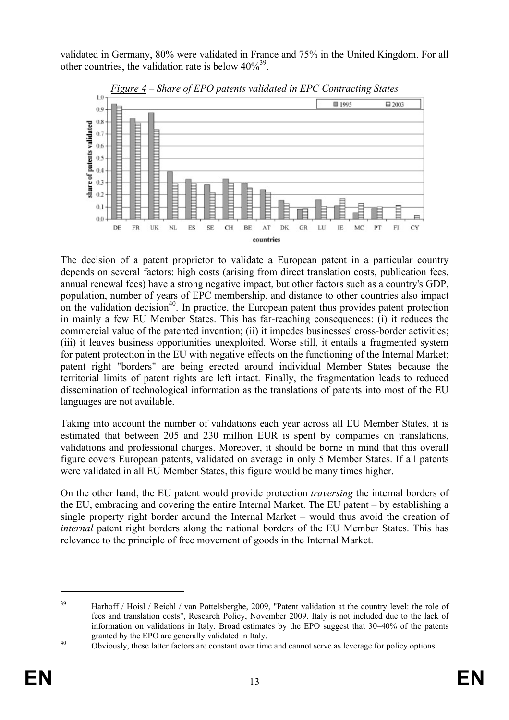validated in Germany, 80% were validated in France and 75% in the United Kingdom. For all other countries, the validation rate is below  $40\%^{39}$ .



*Figure 4 – Share of EPO patents validated in EPC Contracting States*

The decision of a patent proprietor to validate a European patent in a particular country depends on several factors: high costs (arising from direct translation costs, publication fees, annual renewal fees) have a strong negative impact, but other factors such as a country's GDP, population, number of years of EPC membership, and distance to other countries also impact on the validation decision<sup>40</sup>. In practice, the European patent thus provides patent protection in mainly a few EU Member States. This has far-reaching consequences: (i) it reduces the commercial value of the patented invention; (ii) it impedes businesses' cross-border activities; (iii) it leaves business opportunities unexploited. Worse still, it entails a fragmented system for patent protection in the EU with negative effects on the functioning of the Internal Market; patent right "borders" are being erected around individual Member States because the territorial limits of patent rights are left intact. Finally, the fragmentation leads to reduced dissemination of technological information as the translations of patents into most of the EU languages are not available.

Taking into account the number of validations each year across all EU Member States, it is estimated that between 205 and 230 million EUR is spent by companies on translations, validations and professional charges. Moreover, it should be borne in mind that this overall figure covers European patents, validated on average in only 5 Member States. If all patents were validated in all EU Member States, this figure would be many times higher.

On the other hand, the EU patent would provide protection *traversing* the internal borders of the EU, embracing and covering the entire Internal Market. The EU patent – by establishing a single property right border around the Internal Market – would thus avoid the creation of *internal* patent right borders along the national borders of the EU Member States. This has relevance to the principle of free movement of goods in the Internal Market.

 $\overline{a}$ 

<sup>&</sup>lt;sup>39</sup> Harhoff / Hoisl / Reichl / van Pottelsberghe, 2009, "Patent validation at the country level: the role of fees and translation costs", Research Policy, November 2009. Italy is not included due to the lack of information on validations in Italy. Broad estimates by the EPO suggest that 30–40% of the patents granted by the EPO are generally validated in Italy.<br>40 Obviously, these latter factors are constant over time and cannot serve as leverage for policy options.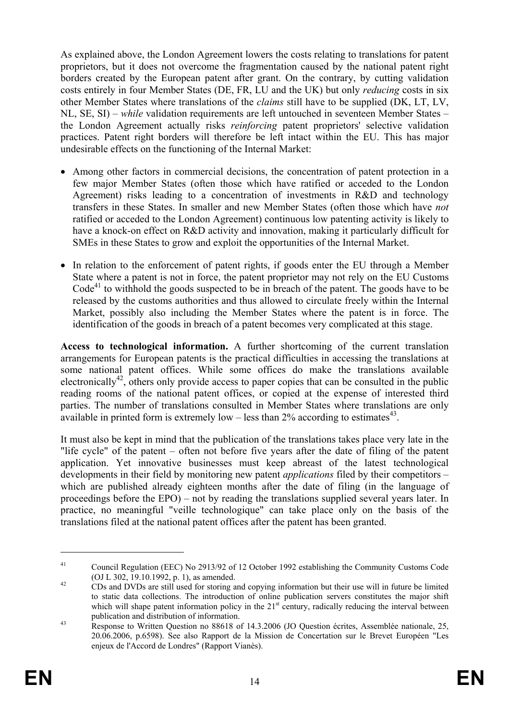As explained above, the London Agreement lowers the costs relating to translations for patent proprietors, but it does not overcome the fragmentation caused by the national patent right borders created by the European patent after grant. On the contrary, by cutting validation costs entirely in four Member States (DE, FR, LU and the UK) but only *reducing* costs in six other Member States where translations of the *claims* still have to be supplied (DK, LT, LV, NL, SE, SI) – *while* validation requirements are left untouched in seventeen Member States – the London Agreement actually risks *reinforcing* patent proprietors' selective validation practices. Patent right borders will therefore be left intact within the EU. This has major undesirable effects on the functioning of the Internal Market:

- Among other factors in commercial decisions, the concentration of patent protection in a few major Member States (often those which have ratified or acceded to the London Agreement) risks leading to a concentration of investments in R&D and technology transfers in these States. In smaller and new Member States (often those which have *not*  ratified or acceded to the London Agreement) continuous low patenting activity is likely to have a knock-on effect on R&D activity and innovation, making it particularly difficult for SMEs in these States to grow and exploit the opportunities of the Internal Market.
- In relation to the enforcement of patent rights, if goods enter the EU through a Member State where a patent is not in force, the patent proprietor may not rely on the EU Customs  $Code<sup>41</sup>$  to withhold the goods suspected to be in breach of the patent. The goods have to be released by the customs authorities and thus allowed to circulate freely within the Internal Market, possibly also including the Member States where the patent is in force. The identification of the goods in breach of a patent becomes very complicated at this stage.

**Access to technological information.** A further shortcoming of the current translation arrangements for European patents is the practical difficulties in accessing the translations at some national patent offices. While some offices do make the translations available electronically<sup>42</sup>, others only provide access to paper copies that can be consulted in the public reading rooms of the national patent offices, or copied at the expense of interested third parties. The number of translations consulted in Member States where translations are only available in printed form is extremely low – less than  $2\%$  according to estimates<sup>43</sup>.

It must also be kept in mind that the publication of the translations takes place very late in the "life cycle" of the patent – often not before five years after the date of filing of the patent application. Yet innovative businesses must keep abreast of the latest technological developments in their field by monitoring new patent *applications* filed by their competitors – which are published already eighteen months after the date of filing (in the language of proceedings before the EPO) – not by reading the translations supplied several years later. In practice, no meaningful "veille technologique" can take place only on the basis of the translations filed at the national patent offices after the patent has been granted.

<sup>&</sup>lt;sup>41</sup> Council Regulation (EEC) No 2913/92 of 12 October 1992 establishing the Community Customs Code (OJ L 302, 19.10.1992, p. 1), as amended.

 $\frac{42}{2}$  CDs and DVDs are still used for storing and copying information but their use will in future be limited to static data collections. The introduction of online publication servers constitutes the major shift which will shape patent information policy in the  $21<sup>st</sup>$  century, radically reducing the interval between publication and distribution of information.<br><sup>43</sup> Response to Written Question no 88618 of 14.3.2006 (JO Question écrites, Assemblée nationale, 25,

<sup>20.06.2006,</sup> p.6598). See also Rapport de la Mission de Concertation sur le Brevet Européen "Les enjeux de l'Accord de Londres" (Rapport Vianès).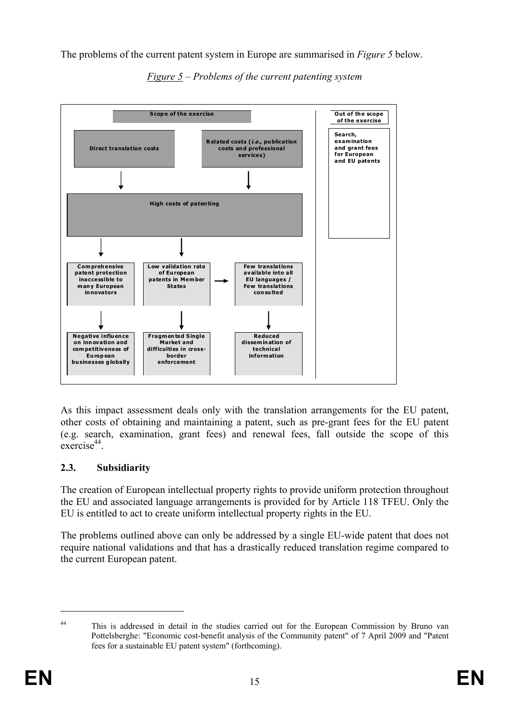The problems of the current patent system in Europe are summarised in *Figure 5* below.



*Figure 5 – Problems of the current patenting system* 

As this impact assessment deals only with the translation arrangements for the EU patent, other costs of obtaining and maintaining a patent, such as pre-grant fees for the EU patent (e.g. search, examination, grant fees) and renewal fees, fall outside the scope of this exercise<sup>44</sup>.

# **2.3. Subsidiarity**

The creation of European intellectual property rights to provide uniform protection throughout the EU and associated language arrangements is provided for by Article 118 TFEU. Only the EU is entitled to act to create uniform intellectual property rights in the EU.

The problems outlined above can only be addressed by a single EU-wide patent that does not require national validations and that has a drastically reduced translation regime compared to the current European patent.

<sup>&</sup>lt;sup>44</sup> This is addressed in detail in the studies carried out for the European Commission by Bruno van Pottelsberghe: "Economic cost-benefit analysis of the Community patent" of 7 April 2009 and "Patent fees for a sustainable EU patent system" (forthcoming).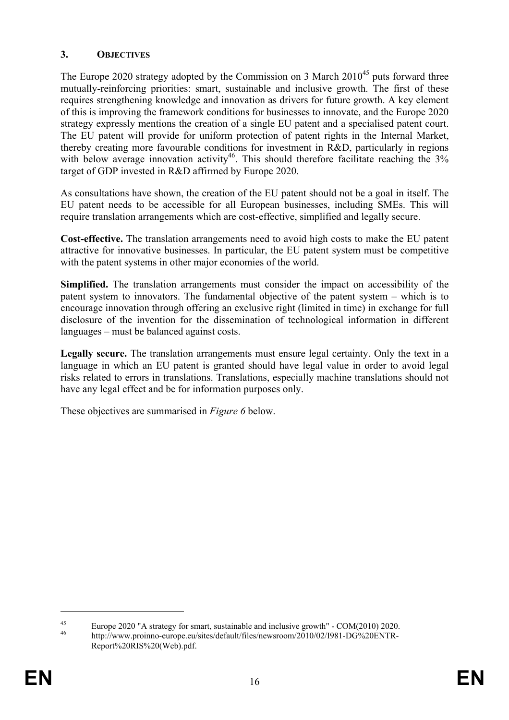## **3. OBJECTIVES**

The Europe 2020 strategy adopted by the Commission on 3 March  $2010^{45}$  puts forward three mutually-reinforcing priorities: smart, sustainable and inclusive growth. The first of these requires strengthening knowledge and innovation as drivers for future growth. A key element of this is improving the framework conditions for businesses to innovate, and the Europe 2020 strategy expressly mentions the creation of a single EU patent and a specialised patent court. The EU patent will provide for uniform protection of patent rights in the Internal Market, thereby creating more favourable conditions for investment in R&D, particularly in regions with below average innovation activity<sup>46</sup>. This should therefore facilitate reaching the  $3\%$ target of GDP invested in R&D affirmed by Europe 2020.

As consultations have shown, the creation of the EU patent should not be a goal in itself. The EU patent needs to be accessible for all European businesses, including SMEs. This will require translation arrangements which are cost-effective, simplified and legally secure.

**Cost-effective.** The translation arrangements need to avoid high costs to make the EU patent attractive for innovative businesses. In particular, the EU patent system must be competitive with the patent systems in other major economies of the world.

**Simplified.** The translation arrangements must consider the impact on accessibility of the patent system to innovators. The fundamental objective of the patent system – which is to encourage innovation through offering an exclusive right (limited in time) in exchange for full disclosure of the invention for the dissemination of technological information in different languages – must be balanced against costs.

**Legally secure.** The translation arrangements must ensure legal certainty. Only the text in a language in which an EU patent is granted should have legal value in order to avoid legal risks related to errors in translations. Translations, especially machine translations should not have any legal effect and be for information purposes only.

These objectives are summarised in *Figure 6* below.

<sup>45</sup> Europe 2020 "A strategy for smart, sustainable and inclusive growth" - COM(2010) 2020. http://www.proinno-europe.eu/sites/default/files/newsroom/2010/02/I981-DG%20ENTR-Report%20RIS%20(Web).pdf.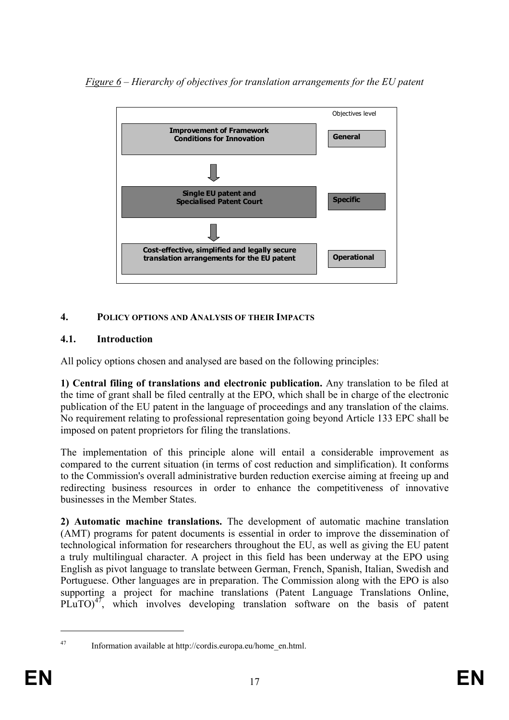*Figure 6 – Hierarchy of objectives for translation arrangements for the EU patent*



# **4. POLICY OPTIONS AND ANALYSIS OF THEIR IMPACTS**

# **4.1. Introduction**

All policy options chosen and analysed are based on the following principles:

**1) Central filing of translations and electronic publication.** Any translation to be filed at the time of grant shall be filed centrally at the EPO, which shall be in charge of the electronic publication of the EU patent in the language of proceedings and any translation of the claims. No requirement relating to professional representation going beyond Article 133 EPC shall be imposed on patent proprietors for filing the translations.

The implementation of this principle alone will entail a considerable improvement as compared to the current situation (in terms of cost reduction and simplification). It conforms to the Commission's overall administrative burden reduction exercise aiming at freeing up and redirecting business resources in order to enhance the competitiveness of innovative businesses in the Member States.

**2) Automatic machine translations.** The development of automatic machine translation (AMT) programs for patent documents is essential in order to improve the dissemination of technological information for researchers throughout the EU, as well as giving the EU patent a truly multilingual character. A project in this field has been underway at the EPO using English as pivot language to translate between German, French, Spanish, Italian, Swedish and Portuguese. Other languages are in preparation. The Commission along with the EPO is also supporting a project for machine translations (Patent Language Translations Online, PLuTO) $47$ , which involves developing translation software on the basis of patent

<sup>47</sup> Information available at http://cordis.europa.eu/home\_en.html.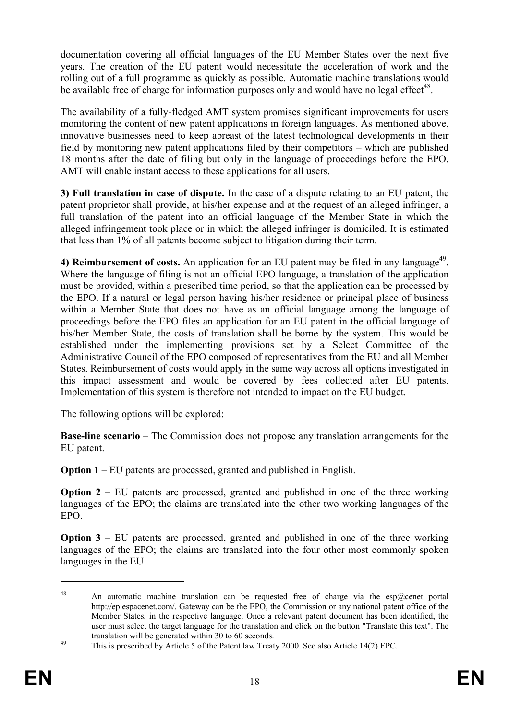documentation covering all official languages of the EU Member States over the next five years. The creation of the EU patent would necessitate the acceleration of work and the rolling out of a full programme as quickly as possible. Automatic machine translations would be available free of charge for information purposes only and would have no legal effect<sup>48</sup>.

The availability of a fully-fledged AMT system promises significant improvements for users monitoring the content of new patent applications in foreign languages. As mentioned above, innovative businesses need to keep abreast of the latest technological developments in their field by monitoring new patent applications filed by their competitors – which are published 18 months after the date of filing but only in the language of proceedings before the EPO. AMT will enable instant access to these applications for all users.

**3) Full translation in case of dispute.** In the case of a dispute relating to an EU patent, the patent proprietor shall provide, at his/her expense and at the request of an alleged infringer, a full translation of the patent into an official language of the Member State in which the alleged infringement took place or in which the alleged infringer is domiciled. It is estimated that less than 1% of all patents become subject to litigation during their term.

4) Reimbursement of costs. An application for an EU patent may be filed in any language<sup>49</sup>. Where the language of filing is not an official EPO language, a translation of the application must be provided, within a prescribed time period, so that the application can be processed by the EPO. If a natural or legal person having his/her residence or principal place of business within a Member State that does not have as an official language among the language of proceedings before the EPO files an application for an EU patent in the official language of his/her Member State, the costs of translation shall be borne by the system. This would be established under the implementing provisions set by a Select Committee of the Administrative Council of the EPO composed of representatives from the EU and all Member States. Reimbursement of costs would apply in the same way across all options investigated in this impact assessment and would be covered by fees collected after EU patents. Implementation of this system is therefore not intended to impact on the EU budget.

The following options will be explored:

**Base-line scenario** – The Commission does not propose any translation arrangements for the EU patent.

**Option 1** – EU patents are processed, granted and published in English.

**Option 2** – EU patents are processed, granted and published in one of the three working languages of the EPO; the claims are translated into the other two working languages of the EPO.

**Option 3** – EU patents are processed, granted and published in one of the three working languages of the EPO; the claims are translated into the four other most commonly spoken languages in the EU.

<sup>&</sup>lt;sup>48</sup> An automatic machine translation can be requested free of charge via the esp $@$ cenet portal http://ep.espacenet.com/. Gateway can be the EPO, the Commission or any national patent office of the Member States, in the respective language. Once a relevant patent document has been identified, the user must select the target language for the translation and click on the button "Translate this text". The translation will be generated within 30 to 60 seconds.<br>This is prescribed by Article 5 of the Patent law Treaty 2000. See also Article 14(2) EPC.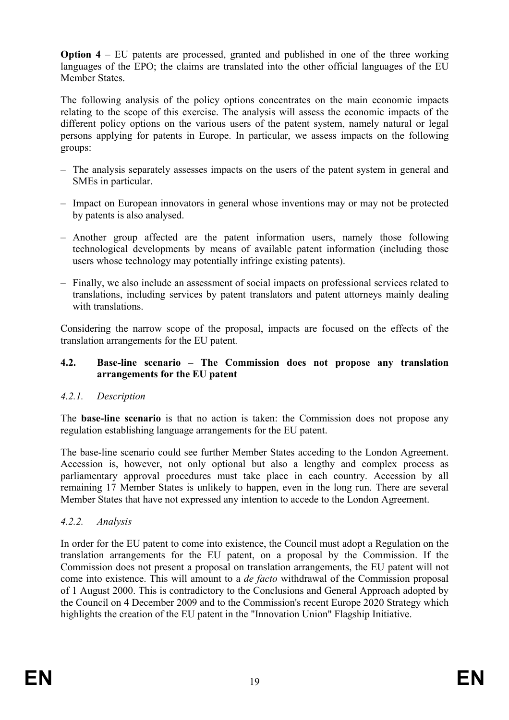**Option 4** – EU patents are processed, granted and published in one of the three working languages of the EPO; the claims are translated into the other official languages of the EU Member States.

The following analysis of the policy options concentrates on the main economic impacts relating to the scope of this exercise. The analysis will assess the economic impacts of the different policy options on the various users of the patent system, namely natural or legal persons applying for patents in Europe. In particular, we assess impacts on the following groups:

- The analysis separately assesses impacts on the users of the patent system in general and SMEs in particular.
- Impact on European innovators in general whose inventions may or may not be protected by patents is also analysed.
- Another group affected are the patent information users, namely those following technological developments by means of available patent information (including those users whose technology may potentially infringe existing patents).
- Finally, we also include an assessment of social impacts on professional services related to translations, including services by patent translators and patent attorneys mainly dealing with translations.

Considering the narrow scope of the proposal, impacts are focused on the effects of the translation arrangements for the EU patent*.* 

#### **4.2. Base-line scenario – The Commission does not propose any translation arrangements for the EU patent**

## *4.2.1. Description*

The **base-line scenario** is that no action is taken: the Commission does not propose any regulation establishing language arrangements for the EU patent.

The base-line scenario could see further Member States acceding to the London Agreement. Accession is, however, not only optional but also a lengthy and complex process as parliamentary approval procedures must take place in each country. Accession by all remaining 17 Member States is unlikely to happen, even in the long run. There are several Member States that have not expressed any intention to accede to the London Agreement.

#### *4.2.2. Analysis*

In order for the EU patent to come into existence, the Council must adopt a Regulation on the translation arrangements for the EU patent, on a proposal by the Commission. If the Commission does not present a proposal on translation arrangements, the EU patent will not come into existence. This will amount to a *de facto* withdrawal of the Commission proposal of 1 August 2000. This is contradictory to the Conclusions and General Approach adopted by the Council on 4 December 2009 and to the Commission's recent Europe 2020 Strategy which highlights the creation of the EU patent in the "Innovation Union" Flagship Initiative.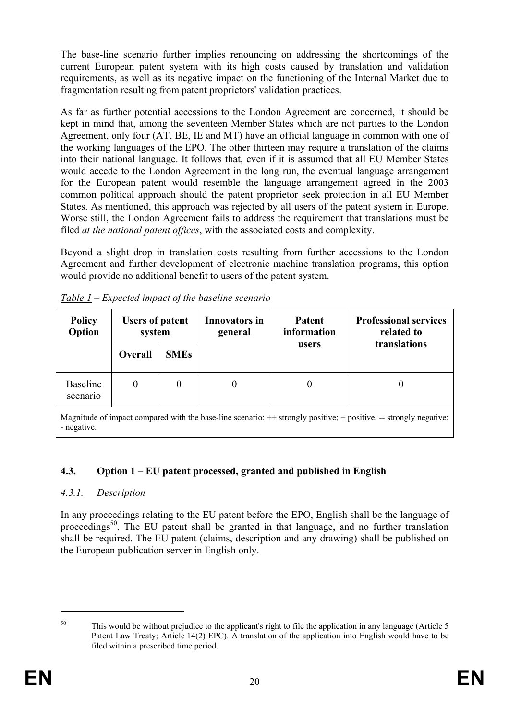The base-line scenario further implies renouncing on addressing the shortcomings of the current European patent system with its high costs caused by translation and validation requirements, as well as its negative impact on the functioning of the Internal Market due to fragmentation resulting from patent proprietors' validation practices.

As far as further potential accessions to the London Agreement are concerned, it should be kept in mind that, among the seventeen Member States which are not parties to the London Agreement, only four (AT, BE, IE and MT) have an official language in common with one of the working languages of the EPO. The other thirteen may require a translation of the claims into their national language. It follows that, even if it is assumed that all EU Member States would accede to the London Agreement in the long run, the eventual language arrangement for the European patent would resemble the language arrangement agreed in the 2003 common political approach should the patent proprietor seek protection in all EU Member States. As mentioned, this approach was rejected by all users of the patent system in Europe. Worse still, the London Agreement fails to address the requirement that translations must be filed *at the national patent offices*, with the associated costs and complexity.

Beyond a slight drop in translation costs resulting from further accessions to the London Agreement and further development of electronic machine translation programs, this option would provide no additional benefit to users of the patent system.

| <b>Policy</b><br>Option                                                                                            | <b>Users of patent</b><br>system |             | <b>Innovators in</b><br>general | <b>Patent</b><br>information | <b>Professional services</b><br>related to |
|--------------------------------------------------------------------------------------------------------------------|----------------------------------|-------------|---------------------------------|------------------------------|--------------------------------------------|
|                                                                                                                    | <b>Overall</b>                   | <b>SMEs</b> |                                 | users                        | translations                               |
| <b>Baseline</b><br>scenario                                                                                        | 0                                | $\theta$    |                                 | $\theta$                     |                                            |
| Magnitude of impact compared with the base-line scenario: $+$ strongly positive; + positive, -- strongly negative; |                                  |             |                                 |                              |                                            |

*Table 1 – Expected impact of the baseline scenario* 

# **4.3. Option 1 – EU patent processed, granted and published in English**

## *4.3.1. Description*

- negative.

In any proceedings relating to the EU patent before the EPO, English shall be the language of proceedings<sup>50</sup>. The EU patent shall be granted in that language, and no further translation shall be required. The EU patent (claims, description and any drawing) shall be published on the European publication server in English only.

<sup>&</sup>lt;sup>50</sup> This would be without prejudice to the applicant's right to file the application in any language (Article 5 Patent Law Treaty; Article 14(2) EPC). A translation of the application into English would have to be filed within a prescribed time period.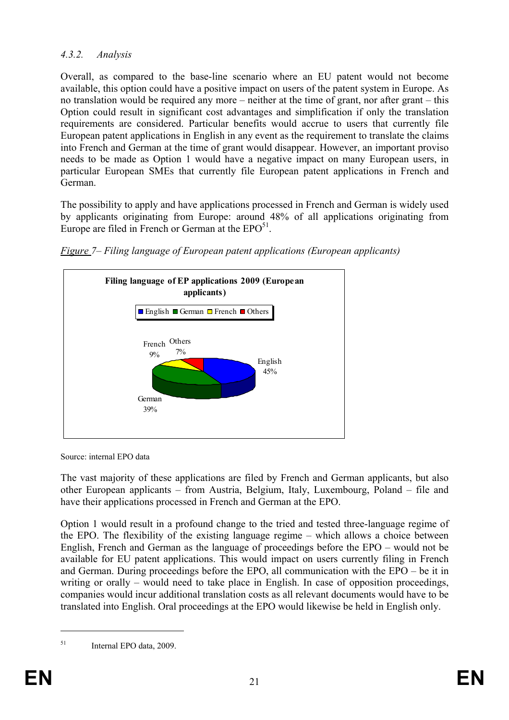# *4.3.2. Analysis*

Overall, as compared to the base-line scenario where an EU patent would not become available, this option could have a positive impact on users of the patent system in Europe. As no translation would be required any more – neither at the time of grant, nor after grant – this Option could result in significant cost advantages and simplification if only the translation requirements are considered. Particular benefits would accrue to users that currently file European patent applications in English in any event as the requirement to translate the claims into French and German at the time of grant would disappear. However, an important proviso needs to be made as Option 1 would have a negative impact on many European users, in particular European SMEs that currently file European patent applications in French and German.

The possibility to apply and have applications processed in French and German is widely used by applicants originating from Europe: around 48% of all applications originating from Europe are filed in French or German at the  $EPO<sup>51</sup>$ .



*Figure 7– Filing language of European patent applications (European applicants)* 

Source: internal EPO data

The vast majority of these applications are filed by French and German applicants, but also other European applicants – from Austria, Belgium, Italy, Luxembourg, Poland – file and have their applications processed in French and German at the EPO.

Option 1 would result in a profound change to the tried and tested three-language regime of the EPO. The flexibility of the existing language regime – which allows a choice between English, French and German as the language of proceedings before the EPO – would not be available for EU patent applications. This would impact on users currently filing in French and German. During proceedings before the EPO, all communication with the EPO – be it in writing or orally – would need to take place in English. In case of opposition proceedings, companies would incur additional translation costs as all relevant documents would have to be translated into English. Oral proceedings at the EPO would likewise be held in English only.

<sup>51</sup> Internal EPO data, 2009.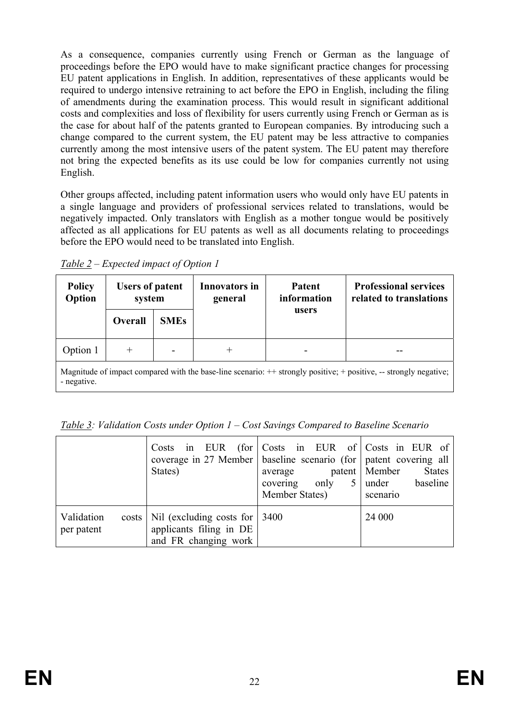As a consequence, companies currently using French or German as the language of proceedings before the EPO would have to make significant practice changes for processing EU patent applications in English. In addition, representatives of these applicants would be required to undergo intensive retraining to act before the EPO in English, including the filing of amendments during the examination process. This would result in significant additional costs and complexities and loss of flexibility for users currently using French or German as is the case for about half of the patents granted to European companies. By introducing such a change compared to the current system, the EU patent may be less attractive to companies currently among the most intensive users of the patent system. The EU patent may therefore not bring the expected benefits as its use could be low for companies currently not using English.

Other groups affected, including patent information users who would only have EU patents in a single language and providers of professional services related to translations, would be negatively impacted. Only translators with English as a mother tongue would be positively affected as all applications for EU patents as well as all documents relating to proceedings before the EPO would need to be translated into English.

*Table 2 – Expected impact of Option 1* 

| <b>Policy</b><br>Option                                                                                                          | <b>Users of patent</b><br>system |             | <b>Innovators in</b><br>general | Patent<br>information | <b>Professional services</b><br>related to translations |  |
|----------------------------------------------------------------------------------------------------------------------------------|----------------------------------|-------------|---------------------------------|-----------------------|---------------------------------------------------------|--|
|                                                                                                                                  | Overall                          | <b>SMEs</b> |                                 | users                 |                                                         |  |
| Option 1                                                                                                                         | $^{+}$                           |             | $\pm$                           |                       |                                                         |  |
| Magnitude of impact compared with the base-line scenario: ++ strongly positive; + positive, -- strongly negative;<br>- negative. |                                  |             |                                 |                       |                                                         |  |

*Table 3: Validation Costs under Option 1 – Cost Savings Compared to Baseline Scenario* 

|                          | Costs in EUR (for Costs in EUR of Costs in EUR of<br>coverage in 27 Member   baseline scenario (for   patent covering all<br>States) | average<br>only<br>5 <sup>1</sup><br>covering<br>Member States) | <b>States</b><br>patent   Member<br>baseline<br>under<br>scenario |
|--------------------------|--------------------------------------------------------------------------------------------------------------------------------------|-----------------------------------------------------------------|-------------------------------------------------------------------|
| Validation<br>per patent | costs   Nil (excluding costs for   3400<br>applicants filing in DE<br>and FR changing work                                           |                                                                 | 24 000                                                            |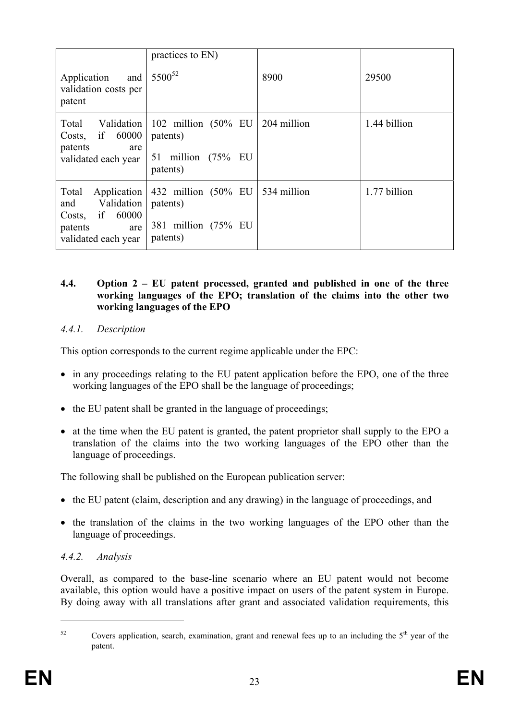|                                                                                                             | practices to EN)                                                                       |             |              |
|-------------------------------------------------------------------------------------------------------------|----------------------------------------------------------------------------------------|-------------|--------------|
| Application<br>validation costs per<br>patent                                                               | and   $5500^{52}$                                                                      | 8900        | 29500        |
| 60000<br>Costs, if<br>patents<br>are<br>validated each year                                                 | Total Validation   102 million (50% EU  <br>patents)<br>51 million (75% EU<br>patents) | 204 million | 1.44 billion |
| Total<br>Application<br>Validation<br>and<br>if<br>60000<br>Costs,<br>patents<br>are<br>validated each year | 432 million $(50\% \text{ EU})$<br>patents)<br>381 million (75% EU<br>patents)         | 534 million | 1.77 billion |

#### **4.4. Option 2 – EU patent processed, granted and published in one of the three working languages of the EPO; translation of the claims into the other two working languages of the EPO**

## *4.4.1. Description*

This option corresponds to the current regime applicable under the EPC:

- in any proceedings relating to the EU patent application before the EPO, one of the three working languages of the EPO shall be the language of proceedings;
- the EU patent shall be granted in the language of proceedings;
- at the time when the EU patent is granted, the patent proprietor shall supply to the EPO a translation of the claims into the two working languages of the EPO other than the language of proceedings.

The following shall be published on the European publication server:

- the EU patent (claim, description and any drawing) in the language of proceedings, and
- the translation of the claims in the two working languages of the EPO other than the language of proceedings.

# *4.4.2. Analysis*

Overall, as compared to the base-line scenario where an EU patent would not become available, this option would have a positive impact on users of the patent system in Europe. By doing away with all translations after grant and associated validation requirements, this

 $52$  Covers application, search, examination, grant and renewal fees up to an including the  $5<sup>th</sup>$  year of the patent.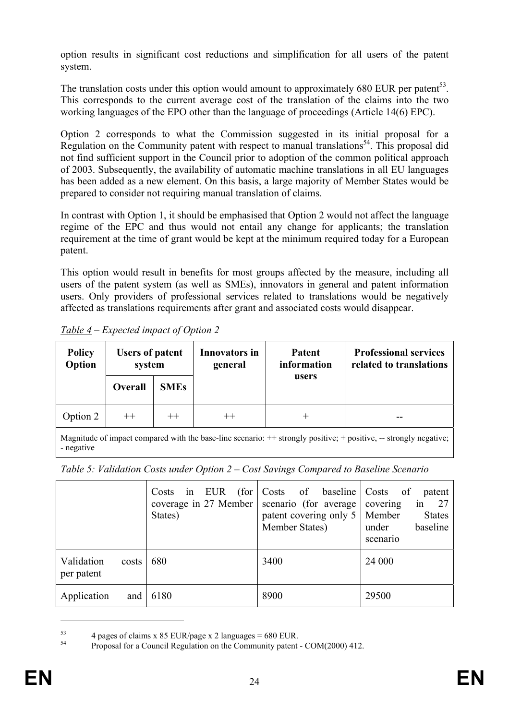option results in significant cost reductions and simplification for all users of the patent system.

The translation costs under this option would amount to approximately 680 EUR per patent<sup>53</sup>. This corresponds to the current average cost of the translation of the claims into the two working languages of the EPO other than the language of proceedings (Article 14(6) EPC).

Option 2 corresponds to what the Commission suggested in its initial proposal for a Regulation on the Community patent with respect to manual translations<sup>54</sup>. This proposal did not find sufficient support in the Council prior to adoption of the common political approach of 2003. Subsequently, the availability of automatic machine translations in all EU languages has been added as a new element. On this basis, a large majority of Member States would be prepared to consider not requiring manual translation of claims.

In contrast with Option 1, it should be emphasised that Option 2 would not affect the language regime of the EPC and thus would not entail any change for applicants; the translation requirement at the time of grant would be kept at the minimum required today for a European patent.

This option would result in benefits for most groups affected by the measure, including all users of the patent system (as well as SMEs), innovators in general and patent information users. Only providers of professional services related to translations would be negatively affected as translations requirements after grant and associated costs would disappear.

| <b>Policy</b><br>Option | <b>Users of patent</b><br>system |             | <b>Innovators in</b><br>general | Patent<br>information | <b>Professional services</b><br>related to translations |
|-------------------------|----------------------------------|-------------|---------------------------------|-----------------------|---------------------------------------------------------|
|                         | Overall                          | <b>SMEs</b> |                                 | users                 |                                                         |
| Option 2                | $++$                             | $++$        | $^{++}$                         |                       |                                                         |
|                         |                                  |             |                                 |                       |                                                         |

*Table 4 – Expected impact of Option 2* 

Magnitude of impact compared with the base-line scenario:  $++$  strongly positive;  $+$  positive,  $-$  strongly negative; - negative

| Table 5: Validation Costs under Option $2$ – Cost Savings Compared to Baseline Scenario |  |  |  |
|-----------------------------------------------------------------------------------------|--|--|--|
|                                                                                         |  |  |  |

|                                   | EUR<br>(for<br>Costs<br>in<br>coverage in 27 Member<br>States) | Costs of baseline Costs<br>scenario (for average<br>patent covering only 5<br>Member States) | - of<br>patent<br>27<br>covering<br>1n<br>Member<br><b>States</b><br>baseline<br>under<br>scenario |
|-----------------------------------|----------------------------------------------------------------|----------------------------------------------------------------------------------------------|----------------------------------------------------------------------------------------------------|
| Validation<br>costs<br>per patent | 680                                                            | 3400                                                                                         | 24 000                                                                                             |
| Application<br>and                | 6180                                                           | 8900                                                                                         | 29500                                                                                              |

<sup>&</sup>lt;sup>53</sup> 4 pages of claims x 85 EUR/page x 2 languages = 680 EUR.<br> $\frac{54}{2}$  Proposel for a Council Bossibian on the Community patent.

<sup>54</sup> Proposal for a Council Regulation on the Community patent - COM(2000) 412.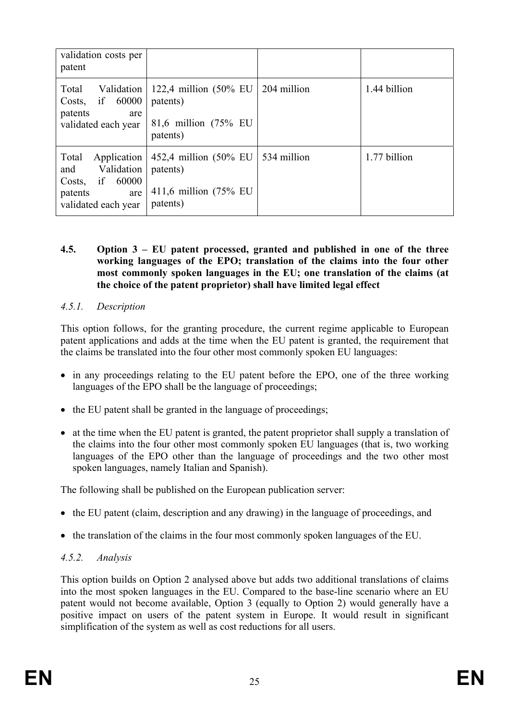| validation costs per<br>patent                                                                              |                                                                                   |             |              |
|-------------------------------------------------------------------------------------------------------------|-----------------------------------------------------------------------------------|-------------|--------------|
| Total<br>Validation<br>if<br>60000<br>Costs,<br>patents<br>are<br>validated each year                       | 122,4 million $(50\% \text{ EU})$<br>patents)<br>81,6 million (75% EU<br>patents) | 204 million | 1.44 billion |
| Total<br>Application<br>Validation<br>and<br>60000<br>if<br>Costs,<br>patents<br>are<br>validated each year | 452,4 million $(50\%$ EU<br>patents)<br>411,6 million (75% EU<br>patents)         | 534 million | 1.77 billion |

#### **4.5. Option 3 – EU patent processed, granted and published in one of the three working languages of the EPO; translation of the claims into the four other most commonly spoken languages in the EU; one translation of the claims (at the choice of the patent proprietor) shall have limited legal effect**

## *4.5.1. Description*

This option follows, for the granting procedure, the current regime applicable to European patent applications and adds at the time when the EU patent is granted, the requirement that the claims be translated into the four other most commonly spoken EU languages:

- in any proceedings relating to the EU patent before the EPO, one of the three working languages of the EPO shall be the language of proceedings;
- the EU patent shall be granted in the language of proceedings;
- at the time when the EU patent is granted, the patent proprietor shall supply a translation of the claims into the four other most commonly spoken EU languages (that is, two working languages of the EPO other than the language of proceedings and the two other most spoken languages, namely Italian and Spanish).

The following shall be published on the European publication server:

- the EU patent (claim, description and any drawing) in the language of proceedings, and
- the translation of the claims in the four most commonly spoken languages of the EU.

# *4.5.2. Analysis*

This option builds on Option 2 analysed above but adds two additional translations of claims into the most spoken languages in the EU. Compared to the base-line scenario where an EU patent would not become available, Option 3 (equally to Option 2) would generally have a positive impact on users of the patent system in Europe. It would result in significant simplification of the system as well as cost reductions for all users.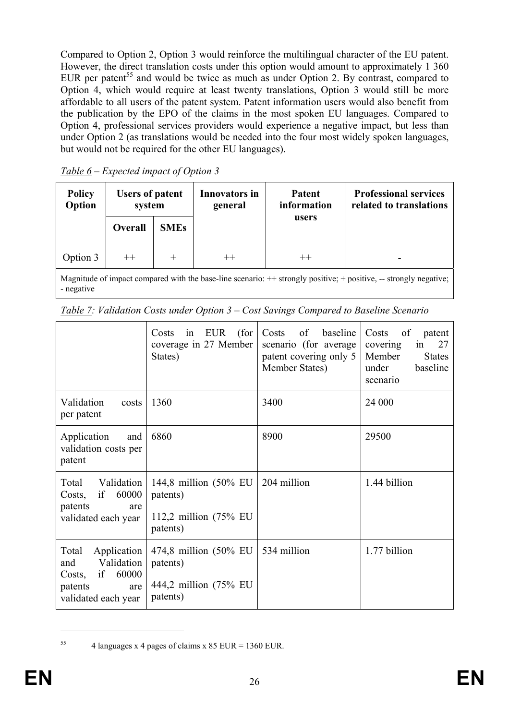Compared to Option 2, Option 3 would reinforce the multilingual character of the EU patent. However, the direct translation costs under this option would amount to approximately 1 360 EUR per patent<sup>55</sup> and would be twice as much as under Option 2. By contrast, compared to Option 4, which would require at least twenty translations, Option 3 would still be more affordable to all users of the patent system. Patent information users would also benefit from the publication by the EPO of the claims in the most spoken EU languages. Compared to Option 4, professional services providers would experience a negative impact, but less than under Option 2 (as translations would be needed into the four most widely spoken languages, but would not be required for the other EU languages).

| <b>Policy</b><br>Option                                                                                                    | <b>Users of patent</b><br>system |             | <b>Innovators in</b><br>general | <b>Patent</b><br>information | <b>Professional services</b><br>related to translations |
|----------------------------------------------------------------------------------------------------------------------------|----------------------------------|-------------|---------------------------------|------------------------------|---------------------------------------------------------|
|                                                                                                                            | Overall                          | <b>SMEs</b> |                                 | users                        |                                                         |
| Option 3                                                                                                                   | $^{++}$                          | $^{+}$      | $^{++}$                         |                              |                                                         |
| Megnitude of impect compared with the best line segments: $\pm\pm$ strongly positive: $\pm$ positive<br>atronaly nogotivo: |                                  |             |                                 |                              |                                                         |

*Table 6 – Expected impact of Option 3* 

Magnitude of impact compared with the base-line scenario:  $++$  strongly positive;  $+$  positive,  $-$  strongly negative; - negative

|                                                                                                             | EUR<br>(for<br>Costs<br>in<br>coverage in 27 Member<br>States)            | Costs<br>of<br>baseline<br>scenario (for average)<br>patent covering only 5<br>Member States) | Costs<br>of<br>patent<br>27<br>covering<br>in<br>Member<br><b>States</b><br>under<br>baseline<br>scenario |
|-------------------------------------------------------------------------------------------------------------|---------------------------------------------------------------------------|-----------------------------------------------------------------------------------------------|-----------------------------------------------------------------------------------------------------------|
| Validation<br>costs<br>per patent                                                                           | 1360                                                                      | 3400                                                                                          | 24 000                                                                                                    |
| Application<br>and<br>validation costs per<br>patent                                                        | 6860                                                                      | 8900                                                                                          | 29500                                                                                                     |
| Total<br>Validation<br>if<br>60000<br>Costs,<br>patents<br>are<br>validated each year                       | 144,8 million $(50\%$ EU<br>patents)<br>112,2 million (75% EU<br>patents) | 204 million                                                                                   | 1.44 billion                                                                                              |
| Total<br>Application<br>Validation<br>and<br>60000<br>if<br>Costs,<br>patents<br>are<br>validated each year | 474,8 million (50% EU<br>patents)<br>444,2 million (75% EU<br>patents)    | 534 million                                                                                   | 1.77 billion                                                                                              |

*Table 7: Validation Costs under Option 3 – Cost Savings Compared to Baseline Scenario* 

<sup>&</sup>lt;sup>55</sup> 4 languages x 4 pages of claims x 85 EUR = 1360 EUR.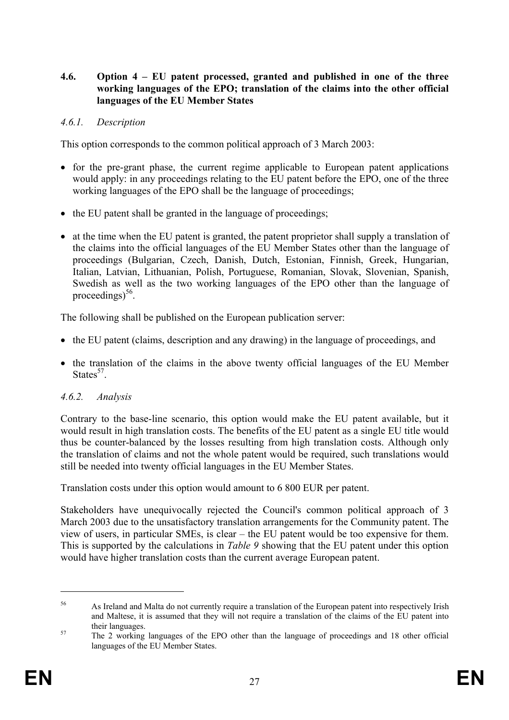#### **4.6. Option 4 – EU patent processed, granted and published in one of the three working languages of the EPO; translation of the claims into the other official languages of the EU Member States**

### *4.6.1. Description*

This option corresponds to the common political approach of 3 March 2003:

- for the pre-grant phase, the current regime applicable to European patent applications would apply: in any proceedings relating to the EU patent before the EPO, one of the three working languages of the EPO shall be the language of proceedings;
- the EU patent shall be granted in the language of proceedings;
- at the time when the EU patent is granted, the patent proprietor shall supply a translation of the claims into the official languages of the EU Member States other than the language of proceedings (Bulgarian, Czech, Danish, Dutch, Estonian, Finnish, Greek, Hungarian, Italian, Latvian, Lithuanian, Polish, Portuguese, Romanian, Slovak, Slovenian, Spanish, Swedish as well as the two working languages of the EPO other than the language of proceedings $^{56}$ .

The following shall be published on the European publication server:

- the EU patent (claims, description and any drawing) in the language of proceedings, and
- the translation of the claims in the above twenty official languages of the EU Member States $57$

## *4.6.2. Analysis*

Contrary to the base-line scenario, this option would make the EU patent available, but it would result in high translation costs. The benefits of the EU patent as a single EU title would thus be counter-balanced by the losses resulting from high translation costs. Although only the translation of claims and not the whole patent would be required, such translations would still be needed into twenty official languages in the EU Member States.

Translation costs under this option would amount to 6 800 EUR per patent.

Stakeholders have unequivocally rejected the Council's common political approach of 3 March 2003 due to the unsatisfactory translation arrangements for the Community patent. The view of users, in particular SMEs, is clear – the EU patent would be too expensive for them. This is supported by the calculations in *Table 9* showing that the EU patent under this option would have higher translation costs than the current average European patent.

<sup>56</sup> As Ireland and Malta do not currently require a translation of the European patent into respectively Irish and Maltese, it is assumed that they will not require a translation of the claims of the EU patent into their languages.<br><sup>57</sup> The 2 working languages of the EPO other than the language of proceedings and 18 other official

languages of the EU Member States.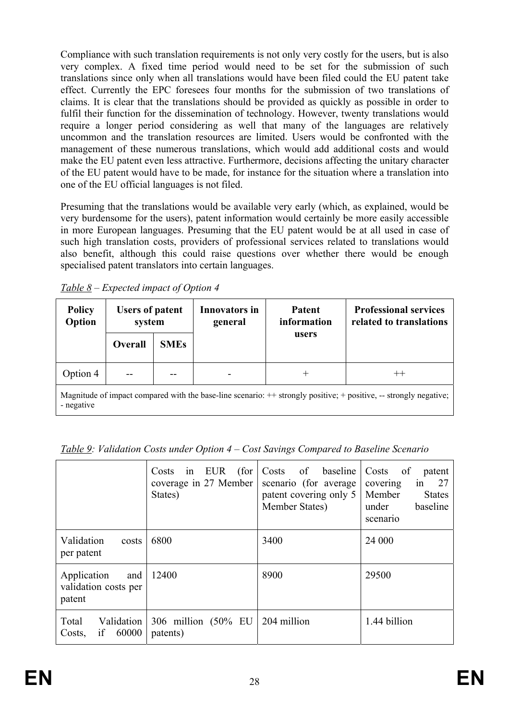Compliance with such translation requirements is not only very costly for the users, but is also very complex. A fixed time period would need to be set for the submission of such translations since only when all translations would have been filed could the EU patent take effect. Currently the EPC foresees four months for the submission of two translations of claims. It is clear that the translations should be provided as quickly as possible in order to fulfil their function for the dissemination of technology. However, twenty translations would require a longer period considering as well that many of the languages are relatively uncommon and the translation resources are limited. Users would be confronted with the management of these numerous translations, which would add additional costs and would make the EU patent even less attractive. Furthermore, decisions affecting the unitary character of the EU patent would have to be made, for instance for the situation where a translation into one of the EU official languages is not filed.

Presuming that the translations would be available very early (which, as explained, would be very burdensome for the users), patent information would certainly be more easily accessible in more European languages. Presuming that the EU patent would be at all used in case of such high translation costs, providers of professional services related to translations would also benefit, although this could raise questions over whether there would be enough specialised patent translators into certain languages.

| <b>Policy</b><br>Option                                                                                                          | <b>Users of patent</b><br>system |             | <b>Innovators in</b><br>general | <b>Patent</b><br>information | <b>Professional services</b><br>related to translations |  |
|----------------------------------------------------------------------------------------------------------------------------------|----------------------------------|-------------|---------------------------------|------------------------------|---------------------------------------------------------|--|
|                                                                                                                                  | Overall                          | <b>SMEs</b> |                                 | users                        |                                                         |  |
| Option 4                                                                                                                         |                                  |             |                                 | $^+$                         | $^{++}$                                                 |  |
| Magnitude of impact compared with the base-line scenario: $+$ strongly positive; + positive, -- strongly negative;<br>- negative |                                  |             |                                 |                              |                                                         |  |

*Table 8 – Expected impact of Option 4* 

*Table 9: Validation Costs under Option 4 – Cost Savings Compared to Baseline Scenario* 

|                                                      | EUR<br>(for)<br>Costs<br>1n<br>coverage in 27 Member<br>States) | Costs of<br>baseline<br>scenario (for average)<br>patent covering only 5<br>Member States) | Costs<br>of<br>patent<br>27<br>covering<br>1n<br>Member<br><b>States</b><br>baseline<br>under<br>scenario |
|------------------------------------------------------|-----------------------------------------------------------------|--------------------------------------------------------------------------------------------|-----------------------------------------------------------------------------------------------------------|
| Validation<br>costs<br>per patent                    | 6800                                                            | 3400                                                                                       | 24 000                                                                                                    |
| Application<br>and<br>validation costs per<br>patent | 12400                                                           | 8900                                                                                       | 29500                                                                                                     |
| Total<br>Validation<br>if<br>60000<br>Costs,         | 306 million (50% EU<br>patents)                                 | 204 million                                                                                | 1.44 billion                                                                                              |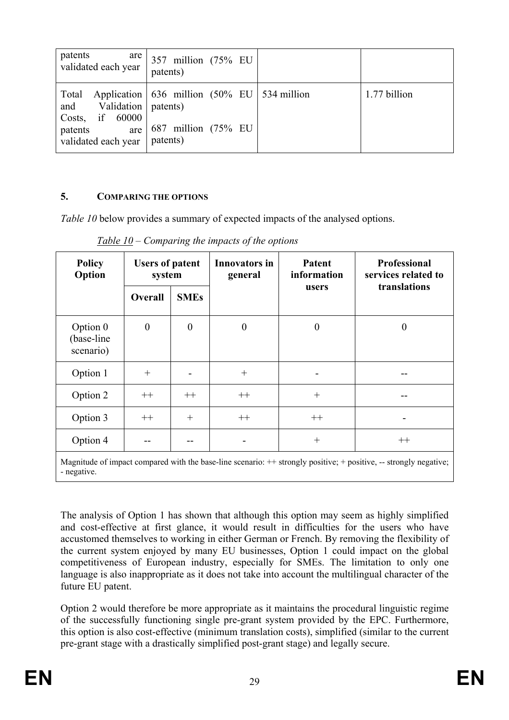| patents<br>are 1<br>validated each year                                                          | 357 million (75% EU<br>patents)                                                                |              |
|--------------------------------------------------------------------------------------------------|------------------------------------------------------------------------------------------------|--------------|
| Total<br>and Validation   patents)<br>Costs, if $60000$<br>patents<br>are<br>validated each year | Application $\vert$ 636 million (50% EU $\vert$ 534 million<br>687 million (75% EU<br>patents) | 1.77 billion |

# **5. COMPARING THE OPTIONS**

*Table 10* below provides a summary of expected impacts of the analysed options.

| <b>Policy</b><br>Option             | <b>Users of patent</b><br>system |                  | <b>Innovators in</b><br>general | <b>Patent</b><br>information | <b>Professional</b><br>services related to |
|-------------------------------------|----------------------------------|------------------|---------------------------------|------------------------------|--------------------------------------------|
|                                     | Overall                          | <b>SMEs</b>      |                                 | users                        | translations                               |
| Option 0<br>(base-line<br>scenario) | $\boldsymbol{0}$                 | $\boldsymbol{0}$ | $\overline{0}$                  | $\boldsymbol{0}$             | $\theta$                                   |
| Option 1                            | $^{+}$                           |                  | $+$                             |                              |                                            |
| Option 2                            | $++$                             | $++$             | $++$                            | $+$                          |                                            |
| Option 3                            | $++$                             | $+$              | $++$                            | $++$                         |                                            |
| Option 4                            |                                  |                  |                                 | $^{+}$                       | $^{++}$                                    |

*Table 10 – Comparing the impacts of the options* 

Magnitude of impact compared with the base-line scenario:  $++$  strongly positive; + positive, -- strongly negative; - negative.

The analysis of Option 1 has shown that although this option may seem as highly simplified and cost-effective at first glance, it would result in difficulties for the users who have accustomed themselves to working in either German or French. By removing the flexibility of the current system enjoyed by many EU businesses, Option 1 could impact on the global competitiveness of European industry, especially for SMEs. The limitation to only one language is also inappropriate as it does not take into account the multilingual character of the future EU patent.

Option 2 would therefore be more appropriate as it maintains the procedural linguistic regime of the successfully functioning single pre-grant system provided by the EPC. Furthermore, this option is also cost-effective (minimum translation costs), simplified (similar to the current pre-grant stage with a drastically simplified post-grant stage) and legally secure.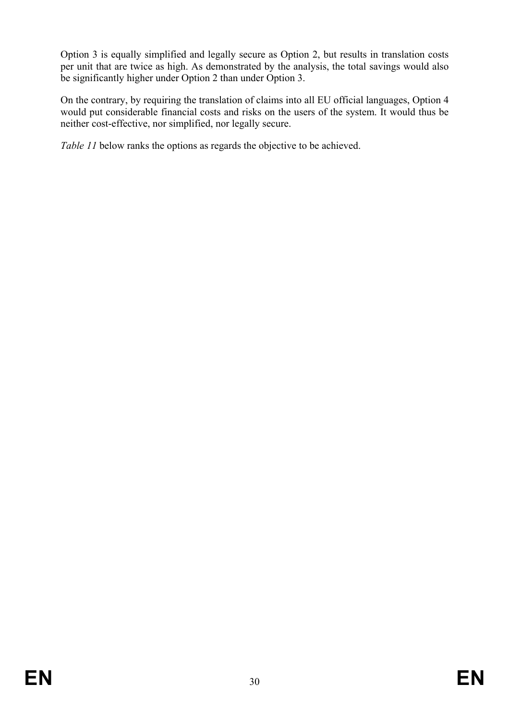Option 3 is equally simplified and legally secure as Option 2, but results in translation costs per unit that are twice as high. As demonstrated by the analysis, the total savings would also be significantly higher under Option 2 than under Option 3.

On the contrary, by requiring the translation of claims into all EU official languages, Option 4 would put considerable financial costs and risks on the users of the system. It would thus be neither cost-effective, nor simplified, nor legally secure.

*Table 11* below ranks the options as regards the objective to be achieved.